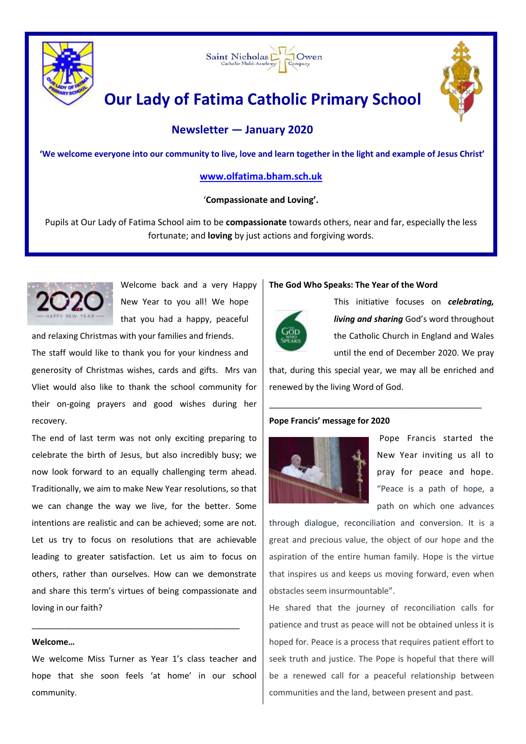



# **Our Lady of Fatima Catholic Primary School**

# **Newsletter — January 2020**

**'We welcome everyone into our community to live, love and learn together in the light and example of Jesus Christ'**

# **[www.olfatima.bham.sch.uk](http://www.olfatima.bham.sch.uk/)**

# '**Compassionate and Loving'.**

Pupils at Our Lady of Fatima School aim to be **compassionate** towards others, near and far, especially the less fortunate; and **loving** by just actions and forgiving words.



Welcome back and a very Happy New Year to you all! We hope that you had a happy, peaceful and relaxing Christmas with your families and friends.

The staff would like to thank you for your kindness and generosity of Christmas wishes, cards and gifts. Mrs van Vliet would also like to thank the school community for their on-going prayers and good wishes during her recovery.

The end of last term was not only exciting preparing to celebrate the birth of Jesus, but also incredibly busy; we now look forward to an equally challenging term ahead. Traditionally, we aim to make New Year resolutions, so that we can change the way we live, for the better. Some intentions are realistic and can be achieved; some are not. Let us try to focus on resolutions that are achievable leading to greater satisfaction. Let us aim to focus on others, rather than ourselves. How can we demonstrate and share this term's virtues of being compassionate and loving in our faith?

# **Welcome…**

We welcome Miss Turner as Year 1's class teacher and hope that she soon feels 'at home' in our school community.

\_\_\_\_\_\_\_\_\_\_\_\_\_\_\_\_\_\_\_\_\_\_\_\_\_\_\_\_\_\_\_\_\_\_\_\_\_\_\_\_\_\_\_\_\_

### **The God Who Speaks: The Year of the Word**



This initiative focuses on *celebrating, living and sharing* God's word throughout the Catholic Church in England and Wales until the end of December 2020. We pray

that, during this special year, we may all be enriched and renewed by the living Word of God.

\_\_\_\_\_\_\_\_\_\_\_\_\_\_\_\_\_\_\_\_\_\_\_\_\_\_\_\_\_\_\_\_\_\_\_\_\_\_\_\_\_\_\_\_\_\_

# **Pope Francis' message for 2020**



Pope Francis started the New Year inviting us all to pray for peace and hope. "Peace is a path of hope, a path on which one advances

through dialogue, reconciliation and conversion. It is a great and precious value, the object of our hope and the aspiration of the entire human family. Hope is the virtue that inspires us and keeps us moving forward, even when obstacles seem insurmountable".

He shared that the journey of reconciliation calls for patience and trust as peace will not be obtained unless it is hoped for. Peace is a process that requires patient effort to seek truth and justice. The Pope is hopeful that there will be a renewed call for a peaceful relationship between communities and the land, between present and past.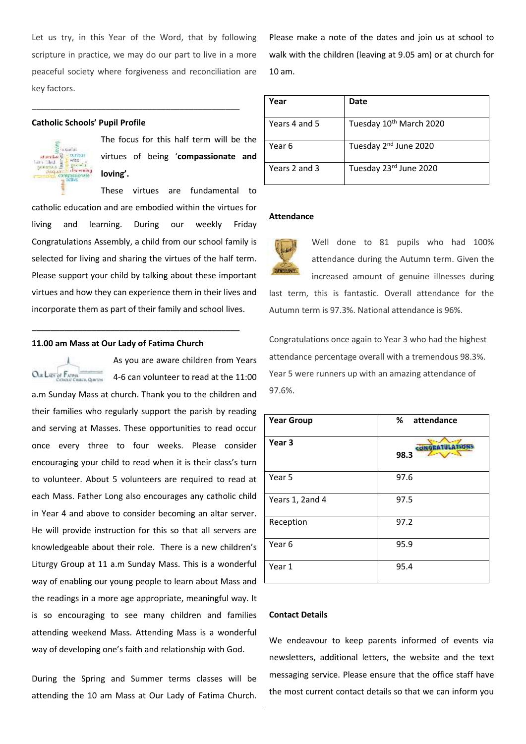Let us try, in this Year of the Word, that by following scripture in practice, we may do our part to live in a more peaceful society where forgiveness and reconciliation are key factors.

\_\_\_\_\_\_\_\_\_\_\_\_\_\_\_\_\_\_\_\_\_\_\_\_\_\_\_\_\_\_\_\_\_\_\_\_\_\_\_\_\_\_\_\_\_

#### **Catholic Schools' Pupil Profile**



The focus for this half term will be the virtues of being '**compassionate and loving'.**

These virtues are fundamental to catholic education and are embodied within the virtues for living and learning. During our weekly Friday Congratulations Assembly, a child from our school family is selected for living and sharing the virtues of the half term. Please support your child by talking about these important virtues and how they can experience them in their lives and incorporate them as part of their family and school lives.

#### **11.00 am Mass at Our Lady of Fatima Church**

\_\_\_\_\_\_\_\_\_\_\_\_\_\_\_\_\_\_\_\_\_\_\_\_\_\_\_\_\_\_\_\_\_\_\_\_\_\_\_\_\_\_\_\_\_

| OLB LADY OF FATIMA |  |
|--------------------|--|

As you are aware children from Years 4-6 can volunteer to read at the 11:00

a.m Sunday Mass at church. Thank you to the children and their families who regularly support the parish by reading and serving at Masses. These opportunities to read occur once every three to four weeks. Please consider encouraging your child to read when it is their class's turn to volunteer. About 5 volunteers are required to read at each Mass. Father Long also encourages any catholic child in Year 4 and above to consider becoming an altar server. He will provide instruction for this so that all servers are knowledgeable about their role. There is a new children's Liturgy Group at 11 a.m Sunday Mass. This is a wonderful way of enabling our young people to learn about Mass and the readings in a more age appropriate, meaningful way. It is so encouraging to see many children and families attending weekend Mass. Attending Mass is a wonderful way of developing one's faith and relationship with God.

During the Spring and Summer terms classes will be attending the 10 am Mass at Our Lady of Fatima Church.

Please make a note of the dates and join us at school to walk with the children (leaving at 9.05 am) or at church for 10 am.

| Year          | Date                                |
|---------------|-------------------------------------|
| Years 4 and 5 | Tuesday 10 <sup>th</sup> March 2020 |
| Year 6        | Tuesday 2 <sup>nd</sup> June 2020   |
| Years 2 and 3 | Tuesday 23rd June 2020              |

#### **Attendance**



Well done to 81 pupils who had 100% attendance during the Autumn term. Given the increased amount of genuine illnesses during last term, this is fantastic. Overall attendance for the Autumn term is 97.3%. National attendance is 96%.

Congratulations once again to Year 3 who had the highest attendance percentage overall with a tremendous 98.3%. Year 5 were runners up with an amazing attendance of 97.6%.

| <b>Year Group</b> | %<br>attendance |
|-------------------|-----------------|
| Year <sub>3</sub> | 98.3            |
| Year 5            | 97.6            |
| Years 1, 2and 4   | 97.5            |
| Reception         | 97.2            |
| Year <sub>6</sub> | 95.9            |
| Year 1            | 95.4            |

#### **Contact Details**

We endeavour to keep parents informed of events via newsletters, additional letters, the website and the text messaging service. Please ensure that the office staff have the most current contact details so that we can inform you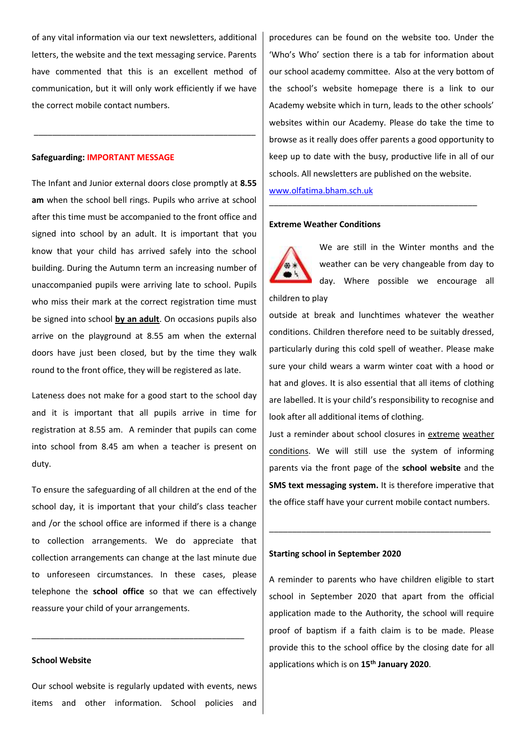of any vital information via our text newsletters, additional letters, the website and the text messaging service. Parents have commented that this is an excellent method of communication, but it will only work efficiently if we have the correct mobile contact numbers.

\_\_\_\_\_\_\_\_\_\_\_\_\_\_\_\_\_\_\_\_\_\_\_\_\_\_\_\_\_\_\_\_\_\_\_\_\_\_\_\_\_\_\_\_\_\_\_\_

#### **Safeguarding: IMPORTANT MESSAGE**

The Infant and Junior external doors close promptly at **8.55 am** when the school bell rings. Pupils who arrive at school after this time must be accompanied to the front office and signed into school by an adult. It is important that you know that your child has arrived safely into the school building. During the Autumn term an increasing number of unaccompanied pupils were arriving late to school. Pupils who miss their mark at the correct registration time must be signed into school **by an adult**. On occasions pupils also arrive on the playground at 8.55 am when the external doors have just been closed, but by the time they walk round to the front office, they will be registered as late.

Lateness does not make for a good start to the school day and it is important that all pupils arrive in time for registration at 8.55 am. A reminder that pupils can come into school from 8.45 am when a teacher is present on duty.

To ensure the safeguarding of all children at the end of the school day, it is important that your child's class teacher and /or the school office are informed if there is a change to collection arrangements. We do appreciate that collection arrangements can change at the last minute due to unforeseen circumstances. In these cases, please telephone the **school office** so that we can effectively reassure your child of your arrangements.

#### **School Website**

Our school website is regularly updated with events, news items and other information. School policies and

\_\_\_\_\_\_\_\_\_\_\_\_\_\_\_\_\_\_\_\_\_\_\_\_\_\_\_\_\_\_\_\_\_\_\_\_\_\_\_\_\_\_\_\_\_\_

procedures can be found on the website too. Under the 'Who's Who' section there is a tab for information about our school academy committee. Also at the very bottom of the school's website homepage there is a link to our Academy website which in turn, leads to the other schools' websites within our Academy. Please do take the time to browse as it really does offer parents a good opportunity to keep up to date with the busy, productive life in all of our schools. All newsletters are published on the website.

\_\_\_\_\_\_\_\_\_\_\_\_\_\_\_\_\_\_\_\_\_\_\_\_\_\_\_\_\_\_\_\_\_\_\_\_\_\_\_\_\_\_\_\_\_

[www.olfatima.bham.sch.uk](http://www.olfatima.bham.sch.uk/)

# **Extreme Weather Conditions**



We are still in the Winter months and the weather can be very changeable from day to day. Where possible we encourage all

children to play outside at break and lunchtimes whatever the weather conditions. Children therefore need to be suitably dressed, particularly during this cold spell of weather. Please make sure your child wears a warm winter coat with a hood or hat and gloves. It is also essential that all items of clothing are labelled. It is your child's responsibility to recognise and look after all additional items of clothing.

Just a reminder about school closures in extreme weather conditions. We will still use the system of informing parents via the front page of the **school website** and the **SMS text messaging system.** It is therefore imperative that the office staff have your current mobile contact numbers.

\_\_\_\_\_\_\_\_\_\_\_\_\_\_\_\_\_\_\_\_\_\_\_\_\_\_\_\_\_\_\_\_\_\_\_\_\_\_\_\_\_\_\_\_\_\_\_\_

# **Starting school in September 2020**

A reminder to parents who have children eligible to start school in September 2020 that apart from the official application made to the Authority, the school will require proof of baptism if a faith claim is to be made. Please provide this to the school office by the closing date for all applications which is on **15th January 2020**.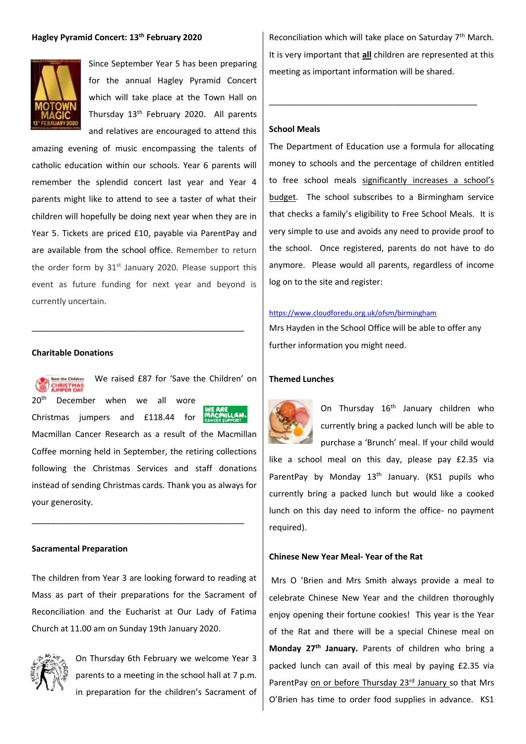### **Hagley Pyramid Concert: 13th February 2020**



Since September Year 5 has been preparing for the annual Hagley Pyramid Concert which will take place at the Town Hall on Thursday 13th February 2020. All parents and relatives are encouraged to attend this

amazing evening of music encompassing the talents of catholic education within our schools. Year 6 parents will remember the splendid concert last year and Year 4 parents might like to attend to see a taster of what their children will hopefully be doing next year when they are in Year 5. Tickets are priced £10, payable via ParentPay and are available from the school office. Remember to return the order form by  $31^{st}$  January 2020. Please support this event as future funding for next year and beyond is currently uncertain.

\_\_\_\_\_\_\_\_\_\_\_\_\_\_\_\_\_\_\_\_\_\_\_\_\_\_\_\_\_\_\_\_\_\_\_\_\_\_\_\_\_\_\_\_\_\_

#### **Charitable Donations**



We raised £87 for 'Save the Children' on 20<sup>th</sup> December when we all wore

ili 4N. Christmas jumpers and £118.44 for Macmillan Cancer Research as a result of the Macmillan Coffee morning held in September, the retiring collections following the Christmas Services and staff donations instead of sending Christmas cards. Thank you as always for your generosity.

\_\_\_\_\_\_\_\_\_\_\_\_\_\_\_\_\_\_\_\_\_\_\_\_\_\_\_\_\_\_\_\_\_\_\_\_\_\_\_\_\_\_\_\_\_\_

#### **Sacramental Preparation**

The children from Year 3 are looking forward to reading at Mass as part of their preparations for the Sacrament of Reconciliation and the Eucharist at Our Lady of Fatima Church at 11.00 am on Sunday 19th January 2020.



On Thursday 6th February we welcome Year 3 parents to a meeting in the school hall at 7 p.m. in preparation for the children's Sacrament of

Reconciliation which will take place on Saturday 7<sup>th</sup> March. It is very important that **all** children are represented at this meeting as important information will be shared.

\_\_\_\_\_\_\_\_\_\_\_\_\_\_\_\_\_\_\_\_\_\_\_\_\_\_\_\_\_\_\_\_\_\_\_\_\_\_\_\_\_\_\_\_\_

# **School Meals**

The Department of Education use a formula for allocating money to schools and the percentage of children entitled to free school meals significantly increases a school's budget. The school subscribes to a Birmingham service that checks a family's eligibility to Free School Meals. It is very simple to use and avoids any need to provide proof to the school. Once registered, parents do not have to do anymore. Please would all parents, regardless of income log on to the site and register:

#### <https://www.cloudforedu.org.uk/ofsm/birmingham>

Mrs Hayden in the School Office will be able to offer any further information you might need.

#### **Themed Lunches**



On Thursday 16<sup>th</sup> January children who currently bring a packed lunch will be able to purchase a 'Brunch' meal. If your child would

like a school meal on this day, please pay £2.35 via ParentPay by Monday 13<sup>th</sup> January. (KS1 pupils who currently bring a packed lunch but would like a cooked lunch on this day need to inform the office- no payment required).

# **Chinese New Year Meal- Year of the Rat**

Mrs O 'Brien and Mrs Smith always provide a meal to celebrate Chinese New Year and the children thoroughly enjoy opening their fortune cookies! This year is the Year of the Rat and there will be a special Chinese meal on **Monday 27th January.** Parents of children who bring a packed lunch can avail of this meal by paying £2.35 via ParentPay on or before Thursday 23rd January so that Mrs O'Brien has time to order food supplies in advance. KS1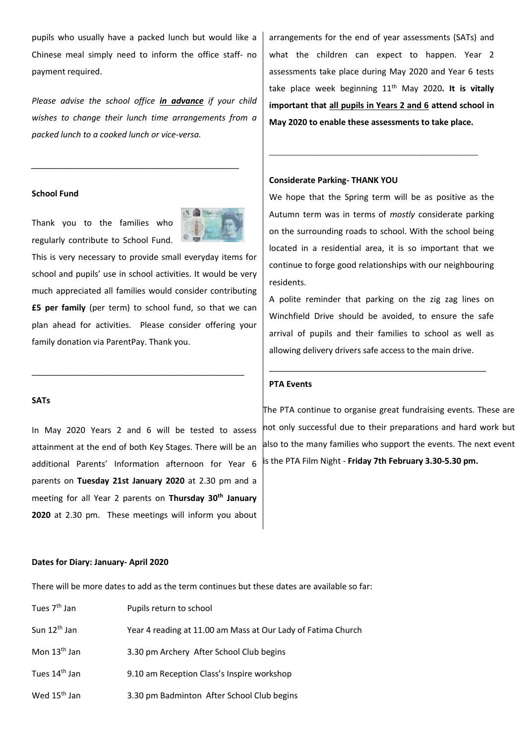pupils who usually have a packed lunch but would like a Chinese meal simply need to inform the office staff- no payment required.

*Please advise the school office in advance if your child wishes to change their lunch time arrangements from a packed lunch to a cooked lunch or vice-versa.*

*\_\_\_\_\_\_\_\_\_\_\_\_\_\_\_\_\_\_\_\_\_\_\_\_\_\_\_\_\_\_\_\_\_\_\_\_\_\_\_\_\_\_\_\_\_*

#### **School Fund**

Thank you to the families who regularly contribute to School Fund.



This is very necessary to provide small everyday items for school and pupils' use in school activities. It would be very much appreciated all families would consider contributing **£5 per family** (per term) to school fund, so that we can plan ahead for activities. Please consider offering your family donation via ParentPay. Thank you.

\_\_\_\_\_\_\_\_\_\_\_\_\_\_\_\_\_\_\_\_\_\_\_\_\_\_\_\_\_\_\_\_\_\_\_\_\_\_\_\_\_\_\_\_\_\_

# **SATs**

In May 2020 Years 2 and 6 will be tested to assess attainment at the end of both Key Stages. There will be an additional Parents' Information afternoon for Year 6 parents on **Tuesday 21st January 2020** at 2.30 pm and a meeting for all Year 2 parents on **Thursday 30th January 2020** at 2.30 pm. These meetings will inform you about

**Dates for Diary: January- April 2020** 

There will be more dates to add as the term continues but these dates are available so far:

| Tues 7 <sup>th</sup> Jan  | Pupils return to school                                      |
|---------------------------|--------------------------------------------------------------|
| Sun 12 <sup>th</sup> Jan  | Year 4 reading at 11.00 am Mass at Our Lady of Fatima Church |
| Mon 13 <sup>th</sup> Jan  | 3.30 pm Archery After School Club begins                     |
| Tues 14 <sup>th</sup> Jan | 9.10 am Reception Class's Inspire workshop                   |
| Wed 15 <sup>th</sup> Jan  | 3.30 pm Badminton After School Club begins                   |

arrangements for the end of year assessments (SATs) and what the children can expect to happen. Year 2 assessments take place during May 2020 and Year 6 tests take place week beginning 11<sup>th</sup> May 2020. It is vitally **important that all pupils in Years 2 and 6 attend school in May 2020 to enable these assessments to take place.**

\_\_\_\_\_\_\_\_\_\_\_\_\_\_\_\_\_\_\_\_\_\_\_\_\_\_\_\_\_\_\_\_\_\_\_\_\_\_\_\_\_\_\_\_\_

#### **Considerate Parking- THANK YOU**

We hope that the Spring term will be as positive as the Autumn term was in terms of *mostly* considerate parking on the surrounding roads to school. With the school being located in a residential area, it is so important that we continue to forge good relationships with our neighbouring residents.

A polite reminder that parking on the zig zag lines on Winchfield Drive should be avoided, to ensure the safe arrival of pupils and their families to school as well as allowing delivery drivers safe access to the main drive.

\_\_\_\_\_\_\_\_\_\_\_\_\_\_\_\_\_\_\_\_\_\_\_\_\_\_\_\_\_\_\_\_\_\_\_\_\_\_\_\_\_\_\_\_\_\_\_

#### **PTA Events**

The PTA continue to organise great fundraising events. These are not only successful due to their preparations and hard work but also to the many families who support the events. The next event is the PTA Film Night - **Friday 7th February 3.30-5.30 pm.**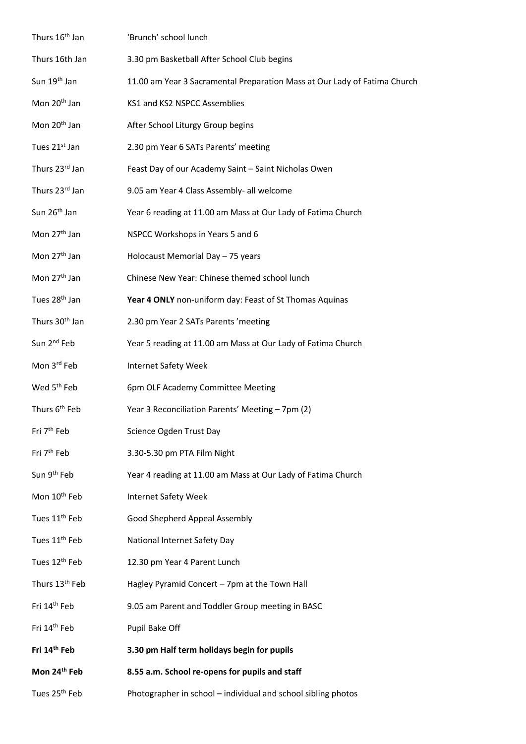| Thurs 16 <sup>th</sup> Jan | 'Brunch' school lunch                                                     |
|----------------------------|---------------------------------------------------------------------------|
| Thurs 16th Jan             | 3.30 pm Basketball After School Club begins                               |
| Sun 19 <sup>th</sup> Jan   | 11.00 am Year 3 Sacramental Preparation Mass at Our Lady of Fatima Church |
| Mon 20 <sup>th</sup> Jan   | KS1 and KS2 NSPCC Assemblies                                              |
| Mon 20 <sup>th</sup> Jan   | After School Liturgy Group begins                                         |
| Tues 21st Jan              | 2.30 pm Year 6 SATs Parents' meeting                                      |
| Thurs 23rd Jan             | Feast Day of our Academy Saint - Saint Nicholas Owen                      |
| Thurs 23rd Jan             | 9.05 am Year 4 Class Assembly- all welcome                                |
| Sun 26 <sup>th</sup> Jan   | Year 6 reading at 11.00 am Mass at Our Lady of Fatima Church              |
| Mon 27 <sup>th</sup> Jan   | NSPCC Workshops in Years 5 and 6                                          |
| Mon 27 <sup>th</sup> Jan   | Holocaust Memorial Day - 75 years                                         |
| Mon 27 <sup>th</sup> Jan   | Chinese New Year: Chinese themed school lunch                             |
| Tues 28 <sup>th</sup> Jan  | Year 4 ONLY non-uniform day: Feast of St Thomas Aquinas                   |
| Thurs 30 <sup>th</sup> Jan | 2.30 pm Year 2 SATs Parents 'meeting                                      |
| Sun 2 <sup>nd</sup> Feb    | Year 5 reading at 11.00 am Mass at Our Lady of Fatima Church              |
| Mon 3rd Feb                | Internet Safety Week                                                      |
| Wed 5 <sup>th</sup> Feb    | 6pm OLF Academy Committee Meeting                                         |
| Thurs 6 <sup>th</sup> Feb  | Year 3 Reconciliation Parents' Meeting - 7pm (2)                          |
| Fri 7 <sup>th</sup> Feb    | Science Ogden Trust Day                                                   |
| Fri 7 <sup>th</sup> Feb    | 3.30-5.30 pm PTA Film Night                                               |
| Sun 9 <sup>th</sup> Feb    | Year 4 reading at 11.00 am Mass at Our Lady of Fatima Church              |
| Mon 10 <sup>th</sup> Feb   | <b>Internet Safety Week</b>                                               |
| Tues 11 <sup>th</sup> Feb  | Good Shepherd Appeal Assembly                                             |
| Tues 11 <sup>th</sup> Feb  | National Internet Safety Day                                              |
| Tues 12 <sup>th</sup> Feb  | 12.30 pm Year 4 Parent Lunch                                              |
| Thurs 13 <sup>th</sup> Feb | Hagley Pyramid Concert - 7pm at the Town Hall                             |
| Fri 14 <sup>th</sup> Feb   | 9.05 am Parent and Toddler Group meeting in BASC                          |
| Fri 14 <sup>th</sup> Feb   | Pupil Bake Off                                                            |
| Fri 14th Feb               | 3.30 pm Half term holidays begin for pupils                               |
| Mon 24th Feb               | 8.55 a.m. School re-opens for pupils and staff                            |
| Tues 25 <sup>th</sup> Feb  | Photographer in school - individual and school sibling photos             |